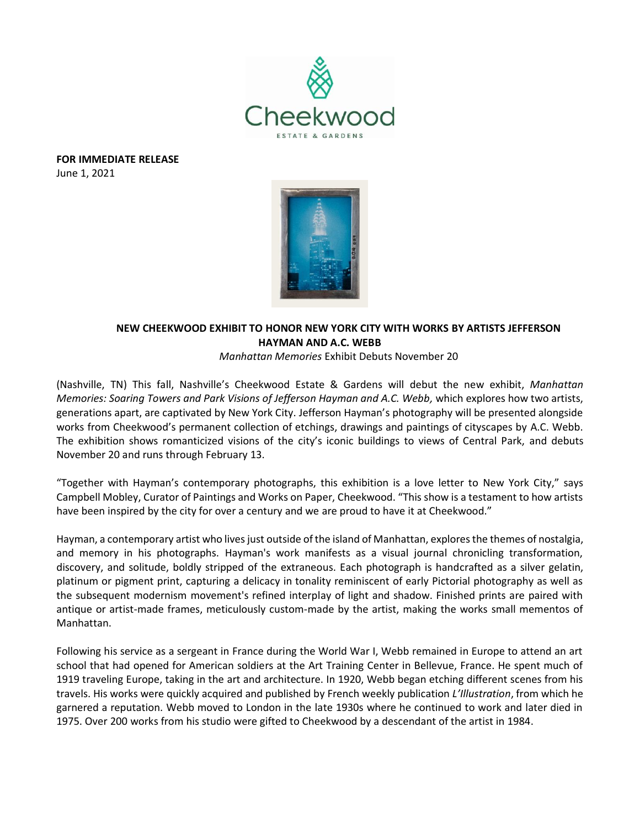

**FOR IMMEDIATE RELEASE**  June 1, 2021



## **NEW CHEEKWOOD EXHIBIT TO HONOR NEW YORK CITY WITH WORKS BY ARTISTS JEFFERSON HAYMAN AND A.C. WEBB**

*Manhattan Memories* Exhibit Debuts November 20

(Nashville, TN) This fall, Nashville's Cheekwood Estate & Gardens will debut the new exhibit, *Manhattan Memories: Soaring Towers and Park Visions of Jefferson Hayman and A.C. Webb,* which explores how two artists, generations apart, are captivated by New York City. Jefferson Hayman's photography will be presented alongside works from Cheekwood's permanent collection of etchings, drawings and paintings of cityscapes by A.C. Webb. The exhibition shows romanticized visions of the city's iconic buildings to views of Central Park, and debuts November 20 and runs through February 13.

"Together with Hayman's contemporary photographs, this exhibition is a love letter to New York City," says Campbell Mobley, Curator of Paintings and Works on Paper, Cheekwood. "This show is a testament to how artists have been inspired by the city for over a century and we are proud to have it at Cheekwood."

Hayman, a contemporary artist who lives just outside of the island of Manhattan, explores the themes of nostalgia, and memory in his photographs. Hayman's work manifests as a visual journal chronicling transformation, discovery, and solitude, boldly stripped of the extraneous. Each photograph is handcrafted as a silver gelatin, platinum or pigment print, capturing a delicacy in tonality reminiscent of early Pictorial photography as well as the subsequent modernism movement's refined interplay of light and shadow. Finished prints are paired with antique or artist-made frames, meticulously custom-made by the artist, making the works small mementos of Manhattan.

Following his service as a sergeant in France during the World War I, Webb remained in Europe to attend an art school that had opened for American soldiers at the Art Training Center in Bellevue, France. He spent much of 1919 traveling Europe, taking in the art and architecture. In 1920, Webb began etching different scenes from his travels. His works were quickly acquired and published by French weekly publication *L'Illustration*, from which he garnered a reputation. Webb moved to London in the late 1930s where he continued to work and later died in 1975. Over 200 works from his studio were gifted to Cheekwood by a descendant of the artist in 1984.